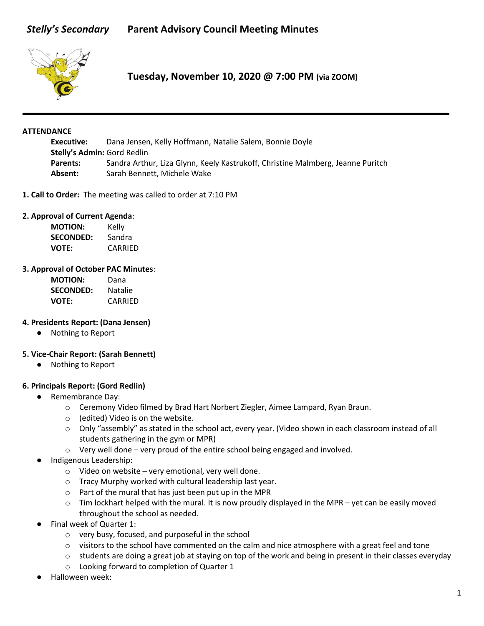# *Stelly's Secondary* **Parent Advisory Council Meeting Minutes**



**Tuesday, November 10, 2020 @ 7:00 PM (via ZOOM)**

### **ATTENDANCE**

**Executive:** Dana Jensen, Kelly Hoffmann, Natalie Salem, Bonnie Doyle **Stelly's Admin:** Gord Redlin **Parents:** Sandra Arthur, Liza Glynn, Keely Kastrukoff, Christine Malmberg, Jeanne Puritch **Absent:** Sarah Bennett, Michele Wake

**1. Call to Order:** The meeting was called to order at 7:10 PM

### **2. Approval of Current Agenda**:

| <b>MOTION:</b>   | Kelly   |
|------------------|---------|
| <b>SECONDED:</b> | Sandra  |
| <b>VOTE:</b>     | CARRIED |

### **3. Approval of October PAC Minutes**:

| ΜΟΤΙΟΝ:          | Dana           |
|------------------|----------------|
| <b>SECONDED:</b> | <b>Natalie</b> |
| VOTE:            | CARRIED        |

### **4. Presidents Report: (Dana Jensen)**

● Nothing to Report

### **5. Vice-Chair Report: (Sarah Bennett)**

● Nothing to Report

### **6. Principals Report: (Gord Redlin)**

- Remembrance Day:
	- o Ceremony Video filmed by Brad Hart Norbert Ziegler, Aimee Lampard, Ryan Braun.
	- o (edited) Video is on the website.
	- o Only "assembly" as stated in the school act, every year. (Video shown in each classroom instead of all students gathering in the gym or MPR)
	- o Very well done very proud of the entire school being engaged and involved.
- Indigenous Leadership:
	- $\circ$  Video on website very emotional, very well done.
	- o Tracy Murphy worked with cultural leadership last year.
	- o Part of the mural that has just been put up in the MPR
	- $\circ$  Tim lockhart helped with the mural. It is now proudly displayed in the MPR yet can be easily moved throughout the school as needed.
- Final week of Quarter 1:
	- o very busy, focused, and purposeful in the school
	- $\circ$  visitors to the school have commented on the calm and nice atmosphere with a great feel and tone
	- $\circ$  students are doing a great job at staying on top of the work and being in present in their classes everyday
	- o Looking forward to completion of Quarter 1
- Halloween week: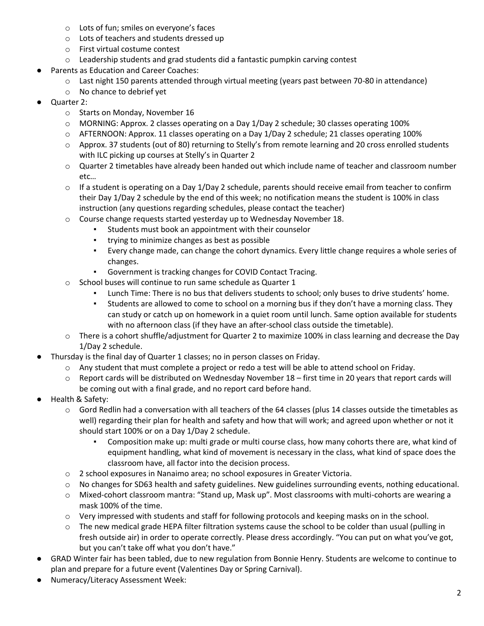- o Lots of fun; smiles on everyone's faces
- o Lots of teachers and students dressed up
- o First virtual costume contest
- o Leadership students and grad students did a fantastic pumpkin carving contest
- Parents as Education and Career Coaches:
	- o Last night 150 parents attended through virtual meeting (years past between 70-80 in attendance)
	- o No chance to debrief yet
- Quarter 2:
	- o Starts on Monday, November 16
	- o MORNING: Approx. 2 classes operating on a Day 1/Day 2 schedule; 30 classes operating 100%
	- o AFTERNOON: Approx. 11 classes operating on a Day 1/Day 2 schedule; 21 classes operating 100%
	- o Approx. 37 students (out of 80) returning to Stelly's from remote learning and 20 cross enrolled students with ILC picking up courses at Stelly's in Quarter 2
	- o Quarter 2 timetables have already been handed out which include name of teacher and classroom number etc…
	- $\circ$  If a student is operating on a Day 1/Day 2 schedule, parents should receive email from teacher to confirm their Day 1/Day 2 schedule by the end of this week; no notification means the student is 100% in class instruction (any questions regarding schedules, please contact the teacher)
	- $\circ$  Course change requests started yesterday up to Wednesday November 18.
		- Students must book an appointment with their counselor
		- trying to minimize changes as best as possible
		- Every change made, can change the cohort dynamics. Every little change requires a whole series of changes.
		- Government is tracking changes for COVID Contact Tracing.
	- o School buses will continue to run same schedule as Quarter 1
		- Lunch Time: There is no bus that delivers students to school; only buses to drive students' home.
		- Students are allowed to come to school on a morning bus if they don't have a morning class. They can study or catch up on homework in a quiet room until lunch. Same option available for students with no afternoon class (if they have an after-school class outside the timetable).
	- o There is a cohort shuffle/adjustment for Quarter 2 to maximize 100% in class learning and decrease the Day 1/Day 2 schedule.
- Thursday is the final day of Quarter 1 classes; no in person classes on Friday.
	- o Any student that must complete a project or redo a test will be able to attend school on Friday.
	- o Report cards will be distributed on Wednesday November 18 first time in 20 years that report cards will be coming out with a final grade, and no report card before hand.
- Health & Safety:
	- $\circ$  Gord Redlin had a conversation with all teachers of the 64 classes (plus 14 classes outside the timetables as well) regarding their plan for health and safety and how that will work; and agreed upon whether or not it should start 100% or on a Day 1/Day 2 schedule.
		- Composition make up: multi grade or multi course class, how many cohorts there are, what kind of equipment handling, what kind of movement is necessary in the class, what kind of space does the classroom have, all factor into the decision process.
	- o 2 school exposures in Nanaimo area; no school exposures in Greater Victoria.
	- o No changes for SD63 health and safety guidelines. New guidelines surrounding events, nothing educational.
	- o Mixed-cohort classroom mantra: "Stand up, Mask up". Most classrooms with multi-cohorts are wearing a mask 100% of the time.
	- o Very impressed with students and staff for following protocols and keeping masks on in the school.
	- $\circ$  The new medical grade HEPA filter filtration systems cause the school to be colder than usual (pulling in fresh outside air) in order to operate correctly. Please dress accordingly. "You can put on what you've got, but you can't take off what you don't have."
- GRAD Winter fair has been tabled, due to new regulation from Bonnie Henry. Students are welcome to continue to plan and prepare for a future event (Valentines Day or Spring Carnival).
- Numeracy/Literacy Assessment Week: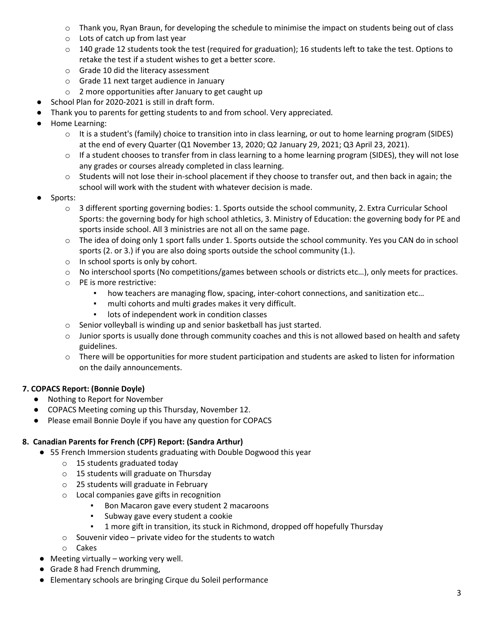- o Thank you, Ryan Braun, for developing the schedule to minimise the impact on students being out of class
- o Lots of catch up from last year
- $\circ$  140 grade 12 students took the test (required for graduation); 16 students left to take the test. Options to retake the test if a student wishes to get a better score.
- o Grade 10 did the literacy assessment
- o Grade 11 next target audience in January
- o 2 more opportunities after January to get caught up
- School Plan for 2020-2021 is still in draft form.
- Thank you to parents for getting students to and from school. Very appreciated.
- Home Learning:
	- o It is a student's (family) choice to transition into in class learning, or out to home learning program (SIDES) at the end of every Quarter (Q1 November 13, 2020; Q2 January 29, 2021; Q3 April 23, 2021).
	- o If a student chooses to transfer from in class learning to a home learning program (SIDES), they will not lose any grades or courses already completed in class learning.
	- $\circ$  Students will not lose their in-school placement if they choose to transfer out, and then back in again; the school will work with the student with whatever decision is made.
- Sports:
	- o 3 different sporting governing bodies: 1. Sports outside the school community, 2. Extra Curricular School Sports: the governing body for high school athletics, 3. Ministry of Education: the governing body for PE and sports inside school. All 3 ministries are not all on the same page.
	- o The idea of doing only 1 sport falls under 1. Sports outside the school community. Yes you CAN do in school sports (2. or 3.) if you are also doing sports outside the school community (1.).
	- o In school sports is only by cohort.
	- o No interschool sports (No competitions/games between schools or districts etc…), only meets for practices.
	- o PE is more restrictive:
		- how teachers are managing flow, spacing, inter-cohort connections, and sanitization etc...
		- multi cohorts and multi grades makes it very difficult.
		- lots of independent work in condition classes
	- o Senior volleyball is winding up and senior basketball has just started.
	- $\circ$  Junior sports is usually done through community coaches and this is not allowed based on health and safety guidelines.
	- $\circ$  There will be opportunities for more student participation and students are asked to listen for information on the daily announcements.

# **7. COPACS Report: (Bonnie Doyle)**

- Nothing to Report for November
- COPACS Meeting coming up this Thursday, November 12.
- Please email Bonnie Doyle if you have any question for COPACS

# **8. Canadian Parents for French (CPF) Report: (Sandra Arthur)**

- 55 French Immersion students graduating with Double Dogwood this year
	- o 15 students graduated today
	- o 15 students will graduate on Thursday
	- o 25 students will graduate in February
	- o Local companies gave gifts in recognition
		- Bon Macaron gave every student 2 macaroons
		- Subway gave every student a cookie
		- 1 more gift in transition, its stuck in Richmond, dropped off hopefully Thursday
	- $\circ$  Souvenir video private video for the students to watch
	- o Cakes
- $\bullet$  Meeting virtually working very well.
- Grade 8 had French drumming,
- Elementary schools are bringing Cirque du Soleil performance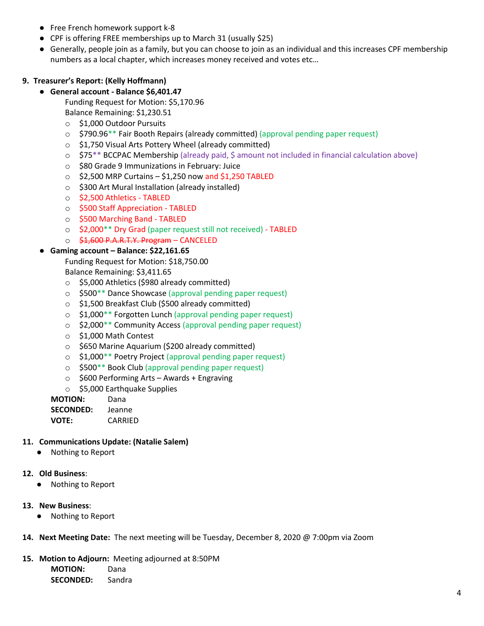- Free French homework support k-8
- CPF is offering FREE memberships up to March 31 (usually \$25)
- Generally, people join as a family, but you can choose to join as an individual and this increases CPF membership numbers as a local chapter, which increases money received and votes etc…

# **9. Treasurer's Report: (Kelly Hoffmann)**

● **General account - Balance \$6,401.47**

Funding Request for Motion: \$5,170.96

- Balance Remaining: \$1,230.51
- o \$1,000 Outdoor Pursuits
- o \$790.96\*\* Fair Booth Repairs (already committed) (approval pending paper request)
- o \$1,750 Visual Arts Pottery Wheel (already committed)
- o \$75\*\* BCCPAC Membership (already paid, \$ amount not included in financial calculation above)
- o \$80 Grade 9 Immunizations in February: Juice
- $\circ$  \$2,500 MRP Curtains \$1,250 now and \$1,250 TABLED
- o \$300 Art Mural Installation (already installed)
- o \$2,500 Athletics TABLED
- o \$500 Staff Appreciation TABLED
- o \$500 Marching Band TABLED
- o \$2,000\*\* Dry Grad (paper request still not received) TABLED
- o \$1,600 P.A.R.T.Y. Program CANCELED

# ● **Gaming account – Balance: \$22,161.65**

Funding Request for Motion: \$18,750.00

Balance Remaining: \$3,411.65

- o \$5,000 Athletics (\$980 already committed)
- o \$500\*\* Dance Showcase (approval pending paper request)
- o \$1,500 Breakfast Club (\$500 already committed)
- o \$1,000\*\* Forgotten Lunch (approval pending paper request)
- o \$2,000\*\* Community Access (approval pending paper request)
- o \$1,000 Math Contest
- o \$650 Marine Aquarium (\$200 already committed)
- o \$1,000\*\* Poetry Project (approval pending paper request)
- o \$500\*\* Book Club (approval pending paper request)
- o \$600 Performing Arts Awards + Engraving
- o \$5,000 Earthquake Supplies

**MOTION:** Dana

**SECONDED:** Jeanne

**VOTE:** CARRIED

# **11. Communications Update: (Natalie Salem)**

● Nothing to Report

# **12. Old Business**:

- Nothing to Report
- **13. New Business**:
	- Nothing to Report
- **14. Next Meeting Date:** The next meeting will be Tuesday, December 8, 2020 @ 7:00pm via Zoom
- **15. Motion to Adjourn:** Meeting adjourned at 8:50PM

**MOTION:** Dana

**SECONDED:** Sandra